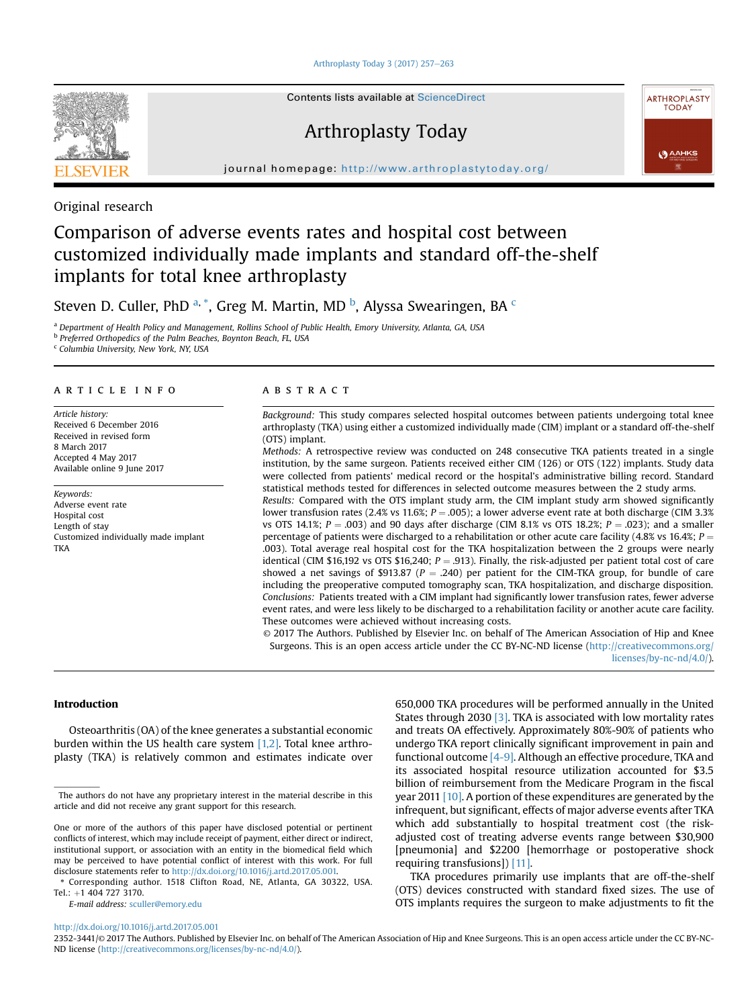[Arthroplasty Today 3 \(2017\) 257](http://dx.doi.org/10.1016/j.artd.2017.05.001)-[263](http://dx.doi.org/10.1016/j.artd.2017.05.001)



Contents lists available at [ScienceDirect](www.sciencedirect.com/science/journal/23523441)

Arthroplasty Today

journal homepage: <http://www.arthroplastytoday.org/>



# Comparison of adverse events rates and hospital cost between customized individually made implants and standard off-the-shelf implants for total knee arthroplasty

Steven D. Culler, PhD <sup>a, \*</sup>, Greg M. Martin, MD <sup>b</sup>, Alyssa Swearingen, BA <sup>c</sup>

a Department of Health Policy and Management, Rollins School of Public Health, Emory University, Atlanta, GA, USA **b** Preferred Orthopedics of the Palm Beaches, Boynton Beach, FL, USA

<sup>c</sup> Columbia University, New York, NY, USA

# article info

Article history: Received 6 December 2016 Received in revised form 8 March 2017 Accepted 4 May 2017 Available online 9 June 2017

Keywords: Adverse event rate Hospital cost Length of stay Customized individually made implant TKA

# **ABSTRACT**

Background: This study compares selected hospital outcomes between patients undergoing total knee arthroplasty (TKA) using either a customized individually made (CIM) implant or a standard off-the-shelf (OTS) implant.

ARTHROPLASTY **TODAY** 

**(GAAHKS** 

Methods: A retrospective review was conducted on 248 consecutive TKA patients treated in a single institution, by the same surgeon. Patients received either CIM (126) or OTS (122) implants. Study data were collected from patients' medical record or the hospital's administrative billing record. Standard statistical methods tested for differences in selected outcome measures between the 2 study arms.

Results: Compared with the OTS implant study arm, the CIM implant study arm showed significantly lower transfusion rates (2.4% vs 11.6%;  $P = .005$ ); a lower adverse event rate at both discharge (CIM 3.3%) vs OTS 14.1%;  $P = .003$ ) and 90 days after discharge (CIM 8.1% vs OTS 18.2%;  $P = .023$ ); and a smaller percentage of patients were discharged to a rehabilitation or other acute care facility (4.8% vs 16.4%;  $P =$ .003). Total average real hospital cost for the TKA hospitalization between the 2 groups were nearly identical (CIM \$16,192 vs OTS \$16,240;  $P = .913$ ). Finally, the risk-adjusted per patient total cost of care showed a net savings of \$913.87 ( $P = .240$ ) per patient for the CIM-TKA group, for bundle of care including the preoperative computed tomography scan, TKA hospitalization, and discharge disposition. Conclusions: Patients treated with a CIM implant had significantly lower transfusion rates, fewer adverse event rates, and were less likely to be discharged to a rehabilitation facility or another acute care facility. These outcomes were achieved without increasing costs.

© 2017 The Authors. Published by Elsevier Inc. on behalf of The American Association of Hip and Knee Surgeons. This is an open access article under the CC BY-NC-ND license ([http://creativecommons.org/](http://creativecommons.org/licenses/by-nc-nd/4.0/) [licenses/by-nc-nd/4.0/](http://creativecommons.org/licenses/by-nc-nd/4.0/)).

# Introduction

Osteoarthritis (OA) of the knee generates a substantial economic burden within the US health care system  $[1,2]$ . Total knee arthroplasty (TKA) is relatively common and estimates indicate over

E-mail address: [sculler@emory.edu](mailto:sculler@emory.edu)

650,000 TKA procedures will be performed annually in the United States through 2030 [\[3\]](#page-6-0). TKA is associated with low mortality rates and treats OA effectively. Approximately 80%-90% of patients who undergo TKA report clinically significant improvement in pain and functional outcome [\[4-9\].](#page-6-0) Although an effective procedure, TKA and its associated hospital resource utilization accounted for \$3.5 billion of reimbursement from the Medicare Program in the fiscal year 2011 [\[10\].](#page-6-0) A portion of these expenditures are generated by the infrequent, but significant, effects of major adverse events after TKA which add substantially to hospital treatment cost (the riskadjusted cost of treating adverse events range between \$30,900 [pneumonia] and \$2200 [hemorrhage or postoperative shock requiring transfusions]) [\[11\].](#page-6-0)

TKA procedures primarily use implants that are off-the-shelf (OTS) devices constructed with standard fixed sizes. The use of OTS implants requires the surgeon to make adjustments to fit the

## <http://dx.doi.org/10.1016/j.artd.2017.05.001>

The authors do not have any proprietary interest in the material describe in this article and did not receive any grant support for this research.

One or more of the authors of this paper have disclosed potential or pertinent conflicts of interest, which may include receipt of payment, either direct or indirect, institutional support, or association with an entity in the biomedical field which may be perceived to have potential conflict of interest with this work. For full disclosure statements refer to [http://dx.doi.org/10.1016/j.artd.2017.05.001.](http://dx.doi.org/10.1016/j.artd.2017.05.001)

<sup>\*</sup> Corresponding author. 1518 Clifton Road, NE, Atlanta, GA 30322, USA. Tel.: +1 404 727 3170.

<sup>2352-3441/</sup>© 2017 The Authors. Published by Elsevier Inc. on behalf of The American Association of Hip and Knee Surgeons. This is an open access article under the CC BY-NC-ND license ([http://creativecommons.org/licenses/by-nc-nd/4.0/\)](http://creativecommons.org/licenses/by-nc-nd/4.0/).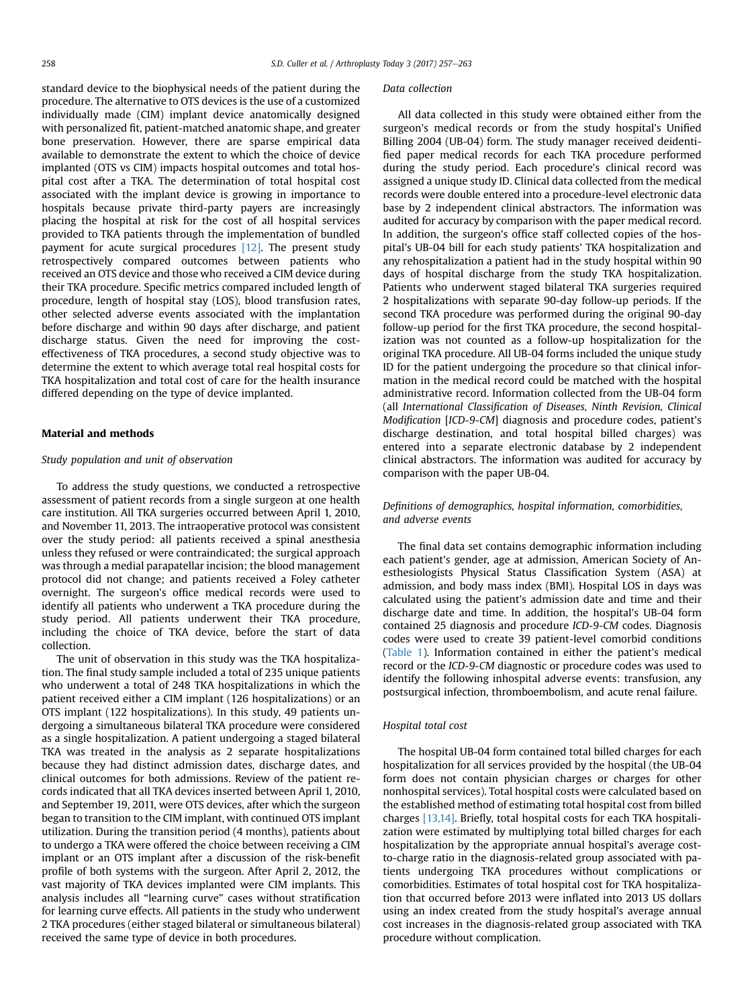standard device to the biophysical needs of the patient during the procedure. The alternative to OTS devices is the use of a customized individually made (CIM) implant device anatomically designed with personalized fit, patient-matched anatomic shape, and greater bone preservation. However, there are sparse empirical data available to demonstrate the extent to which the choice of device implanted (OTS vs CIM) impacts hospital outcomes and total hospital cost after a TKA. The determination of total hospital cost associated with the implant device is growing in importance to hospitals because private third-party payers are increasingly placing the hospital at risk for the cost of all hospital services provided to TKA patients through the implementation of bundled payment for acute surgical procedures [\[12\].](#page-6-0) The present study retrospectively compared outcomes between patients who received an OTS device and those who received a CIM device during their TKA procedure. Specific metrics compared included length of procedure, length of hospital stay (LOS), blood transfusion rates, other selected adverse events associated with the implantation before discharge and within 90 days after discharge, and patient discharge status. Given the need for improving the costeffectiveness of TKA procedures, a second study objective was to determine the extent to which average total real hospital costs for TKA hospitalization and total cost of care for the health insurance differed depending on the type of device implanted.

# Material and methods

## Study population and unit of observation

To address the study questions, we conducted a retrospective assessment of patient records from a single surgeon at one health care institution. All TKA surgeries occurred between April 1, 2010, and November 11, 2013. The intraoperative protocol was consistent over the study period: all patients received a spinal anesthesia unless they refused or were contraindicated; the surgical approach was through a medial parapatellar incision; the blood management protocol did not change; and patients received a Foley catheter overnight. The surgeon's office medical records were used to identify all patients who underwent a TKA procedure during the study period. All patients underwent their TKA procedure, including the choice of TKA device, before the start of data collection.

The unit of observation in this study was the TKA hospitalization. The final study sample included a total of 235 unique patients who underwent a total of 248 TKA hospitalizations in which the patient received either a CIM implant (126 hospitalizations) or an OTS implant (122 hospitalizations). In this study, 49 patients undergoing a simultaneous bilateral TKA procedure were considered as a single hospitalization. A patient undergoing a staged bilateral TKA was treated in the analysis as 2 separate hospitalizations because they had distinct admission dates, discharge dates, and clinical outcomes for both admissions. Review of the patient records indicated that all TKA devices inserted between April 1, 2010, and September 19, 2011, were OTS devices, after which the surgeon began to transition to the CIM implant, with continued OTS implant utilization. During the transition period (4 months), patients about to undergo a TKA were offered the choice between receiving a CIM implant or an OTS implant after a discussion of the risk-benefit profile of both systems with the surgeon. After April 2, 2012, the vast majority of TKA devices implanted were CIM implants. This analysis includes all "learning curve" cases without stratification for learning curve effects. All patients in the study who underwent 2 TKA procedures (either staged bilateral or simultaneous bilateral) received the same type of device in both procedures.

#### Data collection

All data collected in this study were obtained either from the surgeon's medical records or from the study hospital's Unified Billing 2004 (UB-04) form. The study manager received deidentified paper medical records for each TKA procedure performed during the study period. Each procedure's clinical record was assigned a unique study ID. Clinical data collected from the medical records were double entered into a procedure-level electronic data base by 2 independent clinical abstractors. The information was audited for accuracy by comparison with the paper medical record. In addition, the surgeon's office staff collected copies of the hospital's UB-04 bill for each study patients' TKA hospitalization and any rehospitalization a patient had in the study hospital within 90 days of hospital discharge from the study TKA hospitalization. Patients who underwent staged bilateral TKA surgeries required 2 hospitalizations with separate 90-day follow-up periods. If the second TKA procedure was performed during the original 90-day follow-up period for the first TKA procedure, the second hospitalization was not counted as a follow-up hospitalization for the original TKA procedure. All UB-04 forms included the unique study ID for the patient undergoing the procedure so that clinical information in the medical record could be matched with the hospital administrative record. Information collected from the UB-04 form (all International Classification of Diseases, Ninth Revision, Clinical Modification [ICD-9-CM] diagnosis and procedure codes, patient's discharge destination, and total hospital billed charges) was entered into a separate electronic database by 2 independent clinical abstractors. The information was audited for accuracy by comparison with the paper UB-04.

# Definitions of demographics, hospital information, comorbidities, and adverse events

The final data set contains demographic information including each patient's gender, age at admission, American Society of Anesthesiologists Physical Status Classification System (ASA) at admission, and body mass index (BMI). Hospital LOS in days was calculated using the patient's admission date and time and their discharge date and time. In addition, the hospital's UB-04 form contained 25 diagnosis and procedure ICD-9-CM codes. Diagnosis codes were used to create 39 patient-level comorbid conditions ([Table 1](#page-2-0)). Information contained in either the patient's medical record or the ICD-9-CM diagnostic or procedure codes was used to identify the following inhospital adverse events: transfusion, any postsurgical infection, thromboembolism, and acute renal failure.

## Hospital total cost

The hospital UB-04 form contained total billed charges for each hospitalization for all services provided by the hospital (the UB-04 form does not contain physician charges or charges for other nonhospital services). Total hospital costs were calculated based on the established method of estimating total hospital cost from billed charges [\[13,14\]](#page-6-0). Briefly, total hospital costs for each TKA hospitalization were estimated by multiplying total billed charges for each hospitalization by the appropriate annual hospital's average costto-charge ratio in the diagnosis-related group associated with patients undergoing TKA procedures without complications or comorbidities. Estimates of total hospital cost for TKA hospitalization that occurred before 2013 were inflated into 2013 US dollars using an index created from the study hospital's average annual cost increases in the diagnosis-related group associated with TKA procedure without complication.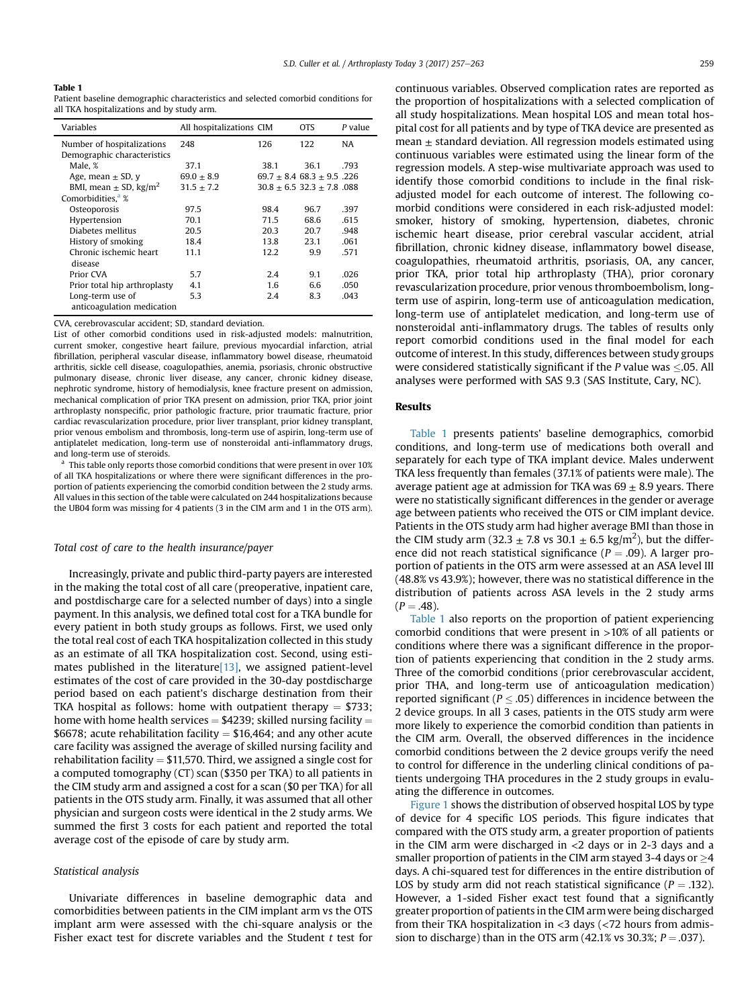#### <span id="page-2-0"></span>Table 1

Patient baseline demographic characteristics and selected comorbid conditions for all TKA hospitalizations and by study arm.

| Variables                             | All hospitalizations CIM |      | <b>OTS</b>                         | P value |
|---------------------------------------|--------------------------|------|------------------------------------|---------|
| Number of hospitalizations            | 248                      | 126  | 122                                | NA      |
| Demographic characteristics           |                          |      |                                    |         |
| Male, %                               | 37.1                     | 38.1 | 36.1                               | .793    |
| Age, mean $\pm$ SD, y                 | $69.0 \pm 8.9$           |      | $69.7 \pm 8.4$ 68.3 $\pm$ 9.5 .226 |         |
| BMI, mean $\pm$ SD, kg/m <sup>2</sup> | $31.5 \pm 7.2$           |      | $30.8 \pm 6.5$ 32.3 $\pm$ 7.8 .088 |         |
| Comorbidities. <sup>a</sup> %         |                          |      |                                    |         |
| Osteoporosis                          | 97.5                     | 98.4 | 96.7                               | .397    |
| Hypertension                          | 70.1                     | 71.5 | 68.6                               | .615    |
| Diabetes mellitus                     | 20.5                     | 20.3 | 20.7                               | .948    |
| History of smoking                    | 18.4                     | 13.8 | 23.1                               | .061    |
| Chronic ischemic heart                | 11.1                     | 12.2 | 9.9                                | .571    |
| disease                               |                          |      |                                    |         |
| Prior CVA                             | 5.7                      | 2.4  | 9.1                                | .026    |
| Prior total hip arthroplasty          | 4.1                      | 1.6  | 6.6                                | .050    |
| Long-term use of                      | 5.3                      | 2.4  | 8.3                                | .043    |
| anticoagulation medication            |                          |      |                                    |         |

CVA, cerebrovascular accident; SD, standard deviation.

List of other comorbid conditions used in risk-adjusted models: malnutrition, current smoker, congestive heart failure, previous myocardial infarction, atrial fibrillation, peripheral vascular disease, inflammatory bowel disease, rheumatoid arthritis, sickle cell disease, coagulopathies, anemia, psoriasis, chronic obstructive pulmonary disease, chronic liver disease, any cancer, chronic kidney disease, nephrotic syndrome, history of hemodialysis, knee fracture present on admission, mechanical complication of prior TKA present on admission, prior TKA, prior joint arthroplasty nonspecific, prior pathologic fracture, prior traumatic fracture, prior cardiac revascularization procedure, prior liver transplant, prior kidney transplant, prior venous embolism and thrombosis, long-term use of aspirin, long-term use of antiplatelet medication, long-term use of nonsteroidal anti-inflammatory drugs, and long-term use of steroids.

This table only reports those comorbid conditions that were present in over 10% of all TKA hospitalizations or where there were significant differences in the proportion of patients experiencing the comorbid condition between the 2 study arms. All values in this section of the table were calculated on 244 hospitalizations because the UB04 form was missing for 4 patients (3 in the CIM arm and 1 in the OTS arm).

## Total cost of care to the health insurance/payer

Increasingly, private and public third-party payers are interested in the making the total cost of all care (preoperative, inpatient care, and postdischarge care for a selected number of days) into a single payment. In this analysis, we defined total cost for a TKA bundle for every patient in both study groups as follows. First, we used only the total real cost of each TKA hospitalization collected in this study as an estimate of all TKA hospitalization cost. Second, using estimates published in the literature  $[13]$ , we assigned patient-level estimates of the cost of care provided in the 30-day postdischarge period based on each patient's discharge destination from their TKA hospital as follows: home with outpatient therapy  $=$  \$733; home with home health services  $= $4239$ ; skilled nursing facility  $=$ \$6678; acute rehabilitation facility  $=$  \$16,464; and any other acute care facility was assigned the average of skilled nursing facility and rehabilitation facility  $= $11,570$ . Third, we assigned a single cost for a computed tomography (CT) scan (\$350 per TKA) to all patients in the CIM study arm and assigned a cost for a scan (\$0 per TKA) for all patients in the OTS study arm. Finally, it was assumed that all other physician and surgeon costs were identical in the 2 study arms. We summed the first 3 costs for each patient and reported the total average cost of the episode of care by study arm.

## Statistical analysis

Univariate differences in baseline demographic data and comorbidities between patients in the CIM implant arm vs the OTS implant arm were assessed with the chi-square analysis or the Fisher exact test for discrete variables and the Student  $t$  test for continuous variables. Observed complication rates are reported as the proportion of hospitalizations with a selected complication of all study hospitalizations. Mean hospital LOS and mean total hospital cost for all patients and by type of TKA device are presented as mean  $\pm$  standard deviation. All regression models estimated using continuous variables were estimated using the linear form of the regression models. A step-wise multivariate approach was used to identify those comorbid conditions to include in the final riskadjusted model for each outcome of interest. The following comorbid conditions were considered in each risk-adjusted model: smoker, history of smoking, hypertension, diabetes, chronic ischemic heart disease, prior cerebral vascular accident, atrial fibrillation, chronic kidney disease, inflammatory bowel disease, coagulopathies, rheumatoid arthritis, psoriasis, OA, any cancer, prior TKA, prior total hip arthroplasty (THA), prior coronary revascularization procedure, prior venous thromboembolism, longterm use of aspirin, long-term use of anticoagulation medication, long-term use of antiplatelet medication, and long-term use of nonsteroidal anti-inflammatory drugs. The tables of results only report comorbid conditions used in the final model for each outcome of interest. In this study, differences between study groups were considered statistically significant if the  $P$  value was  $\leq$ .05. All analyses were performed with SAS 9.3 (SAS Institute, Cary, NC).

# Results

Table 1 presents patients' baseline demographics, comorbid conditions, and long-term use of medications both overall and separately for each type of TKA implant device. Males underwent TKA less frequently than females (37.1% of patients were male). The average patient age at admission for TKA was  $69 \pm 8.9$  years. There were no statistically significant differences in the gender or average age between patients who received the OTS or CIM implant device. Patients in the OTS study arm had higher average BMI than those in the CIM study arm (32.3  $\pm$  7.8 vs 30.1  $\pm$  6.5 kg/m<sup>2</sup>), but the difference did not reach statistical significance ( $P = .09$ ). A larger proportion of patients in the OTS arm were assessed at an ASA level III (48.8% vs 43.9%); however, there was no statistical difference in the distribution of patients across ASA levels in the 2 study arms  $(P = .48)$ .

Table 1 also reports on the proportion of patient experiencing comorbid conditions that were present in >10% of all patients or conditions where there was a significant difference in the proportion of patients experiencing that condition in the 2 study arms. Three of the comorbid conditions (prior cerebrovascular accident, prior THA, and long-term use of anticoagulation medication) reported significant ( $P \leq .05$ ) differences in incidence between the 2 device groups. In all 3 cases, patients in the OTS study arm were more likely to experience the comorbid condition than patients in the CIM arm. Overall, the observed differences in the incidence comorbid conditions between the 2 device groups verify the need to control for difference in the underling clinical conditions of patients undergoing THA procedures in the 2 study groups in evaluating the difference in outcomes.

[Figure 1](#page-3-0) shows the distribution of observed hospital LOS by type of device for 4 specific LOS periods. This figure indicates that compared with the OTS study arm, a greater proportion of patients in the CIM arm were discharged in <2 days or in 2-3 days and a smaller proportion of patients in the CIM arm stayed 3-4 days or  $\geq$ 4 days. A chi-squared test for differences in the entire distribution of LOS by study arm did not reach statistical significance ( $P = .132$ ). However, a 1-sided Fisher exact test found that a significantly greater proportion of patients in the CIM arm were being discharged from their TKA hospitalization in <3 days (<72 hours from admission to discharge) than in the OTS arm  $(42.1\% \text{ vs } 30.3\%; P = .037)$ .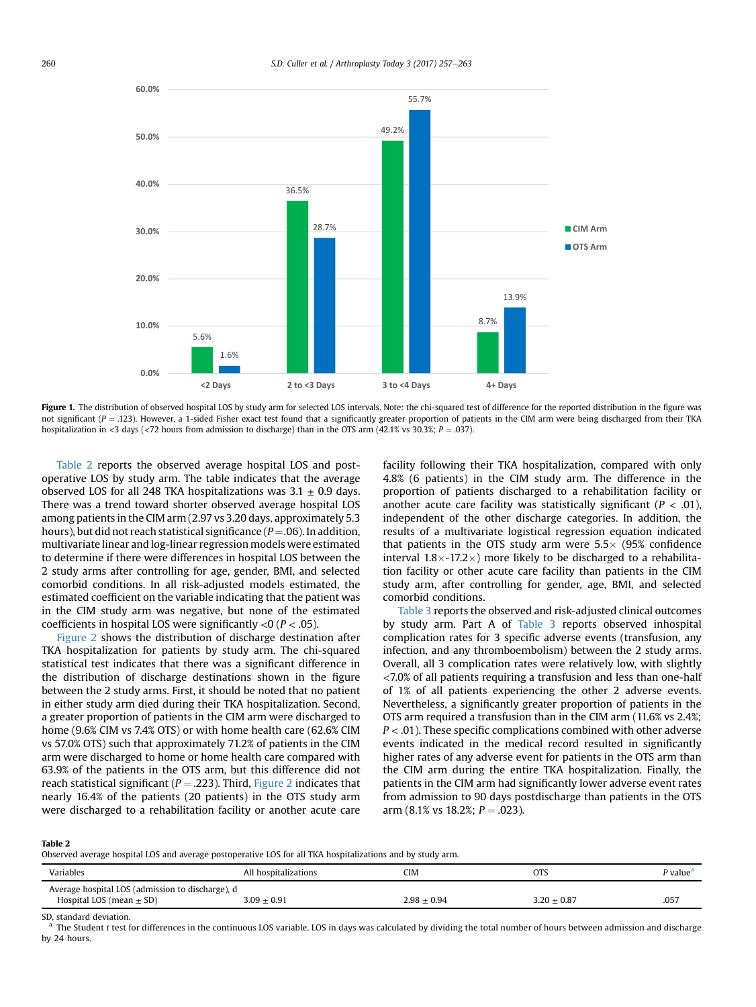<span id="page-3-0"></span>

Figure 1. The distribution of observed hospital LOS by study arm for selected LOS intervals. Note: the chi-squared test of difference for the reported distribution in the figure was not significant ( $P = .123$ ). However, a 1-sided Fisher exact test found that a significantly greater proportion of patients in the CIM arm were being discharged from their TKA hospitalization in <3 days (<72 hours from admission to discharge) than in the OTS arm (42.1% vs 30.3%; P = .037).

Table 2 reports the observed average hospital LOS and postoperative LOS by study arm. The table indicates that the average observed LOS for all 248 TKA hospitalizations was  $3.1 \pm 0.9$  days. There was a trend toward shorter observed average hospital LOS among patients in the CIM arm (2.97 vs 3.20 days, approximately 5.3 hours), but did not reach statistical significance ( $P = .06$ ). In addition, multivariate linear and log-linear regression models were estimated to determine if there were differences in hospital LOS between the 2 study arms after controlling for age, gender, BMI, and selected comorbid conditions. In all risk-adjusted models estimated, the estimated coefficient on the variable indicating that the patient was in the CIM study arm was negative, but none of the estimated coefficients in hospital LOS were significantly  $<$ 0 (P  $<$  .05).

[Figure 2](#page-4-0) shows the distribution of discharge destination after TKA hospitalization for patients by study arm. The chi-squared statistical test indicates that there was a significant difference in the distribution of discharge destinations shown in the figure between the 2 study arms. First, it should be noted that no patient in either study arm died during their TKA hospitalization. Second, a greater proportion of patients in the CIM arm were discharged to home (9.6% CIM vs 7.4% OTS) or with home health care (62.6% CIM vs 57.0% OTS) such that approximately 71.2% of patients in the CIM arm were discharged to home or home health care compared with 63.9% of the patients in the OTS arm, but this difference did not reach statistical significant ( $P = .223$ ). Third, [Figure 2](#page-4-0) indicates that nearly 16.4% of the patients (20 patients) in the OTS study arm were discharged to a rehabilitation facility or another acute care facility following their TKA hospitalization, compared with only 4.8% (6 patients) in the CIM study arm. The difference in the proportion of patients discharged to a rehabilitation facility or another acute care facility was statistically significant ( $P < .01$ ), independent of the other discharge categories. In addition, the results of a multivariate logistical regression equation indicated that patients in the OTS study arm were  $5.5\times$  (95% confidence interval  $1.8\times$ -17.2 $\times$ ) more likely to be discharged to a rehabilitation facility or other acute care facility than patients in the CIM study arm, after controlling for gender, age, BMI, and selected comorbid conditions.

[Table 3](#page-5-0) reports the observed and risk-adjusted clinical outcomes by study arm. Part A of [Table 3](#page-5-0) reports observed inhospital complication rates for 3 specific adverse events (transfusion, any infection, and any thromboembolism) between the 2 study arms. Overall, all 3 complication rates were relatively low, with slightly <7.0% of all patients requiring a transfusion and less than one-half of 1% of all patients experiencing the other 2 adverse events. Nevertheless, a significantly greater proportion of patients in the OTS arm required a transfusion than in the CIM arm (11.6% vs 2.4%;  $P < .01$ ). These specific complications combined with other adverse events indicated in the medical record resulted in significantly higher rates of any adverse event for patients in the OTS arm than the CIM arm during the entire TKA hospitalization. Finally, the patients in the CIM arm had significantly lower adverse event rates from admission to 90 days postdischarge than patients in the OTS arm (8.1% vs 18.2%;  $P = .023$ ).

# Table 2

Observed average hospital LOS and average postoperative LOS for all TKA hospitalizations and by study arm.

| Variables                                                                        | All hospitalizations | CIM             | OTS             | <i>P</i> value |
|----------------------------------------------------------------------------------|----------------------|-----------------|-----------------|----------------|
| Average hospital LOS (admission to discharge), d<br>Hospital LOS (mean $\pm$ SD) | $3.09 \pm 0.91$      | $2.98 \pm 0.94$ | $3.20 \pm 0.87$ | .057           |

SD, standard deviation.

The Student t test for differences in the continuous LOS variable. LOS in days was calculated by dividing the total number of hours between admission and discharge by 24 hours.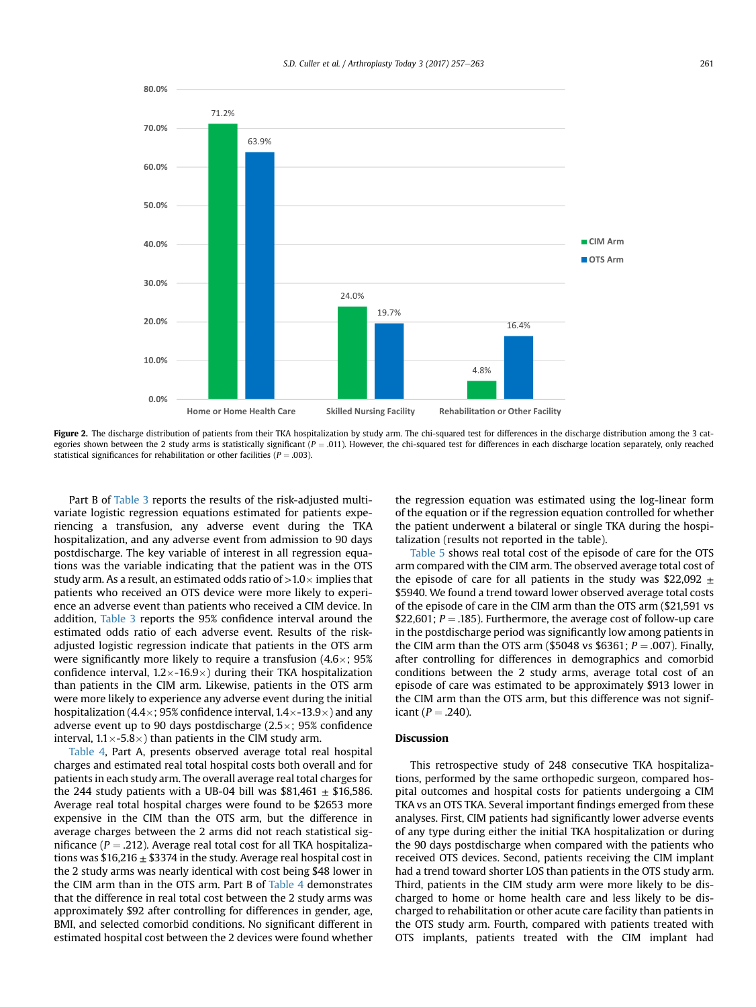<span id="page-4-0"></span>

Figure 2. The discharge distribution of patients from their TKA hospitalization by study arm. The chi-squared test for differences in the discharge distribution among the 3 categories shown between the 2 study arms is statistically significant ( $P = .011$ ). However, the chi-squared test for differences in each discharge location separately, only reached statistical significances for rehabilitation or other facilities ( $P = .003$ ).

Part B of [Table 3](#page-5-0) reports the results of the risk-adjusted multivariate logistic regression equations estimated for patients experiencing a transfusion, any adverse event during the TKA hospitalization, and any adverse event from admission to 90 days postdischarge. The key variable of interest in all regression equations was the variable indicating that the patient was in the OTS study arm. As a result, an estimated odds ratio of  $>1.0\times$  implies that patients who received an OTS device were more likely to experience an adverse event than patients who received a CIM device. In addition, [Table 3](#page-5-0) reports the 95% confidence interval around the estimated odds ratio of each adverse event. Results of the riskadjusted logistic regression indicate that patients in the OTS arm were significantly more likely to require a transfusion  $(4.6\times; 95\%)$ confidence interval,  $1.2 \times -16.9 \times$ ) during their TKA hospitalization than patients in the CIM arm. Likewise, patients in the OTS arm were more likely to experience any adverse event during the initial hospitalization (4.4 $\times$ ; 95% confidence interval, 1.4 $\times$ -13.9 $\times$ ) and any adverse event up to 90 days postdischarge  $(2.5\times; 95\%)$  confidence interval,  $1.1 \times -5.8 \times$ ) than patients in the CIM study arm.

[Table 4,](#page-5-0) Part A, presents observed average total real hospital charges and estimated real total hospital costs both overall and for patients in each study arm. The overall average real total charges for the 244 study patients with a UB-04 bill was  $$81,461 \pm $16,586$ . Average real total hospital charges were found to be \$2653 more expensive in the CIM than the OTS arm, but the difference in average charges between the 2 arms did not reach statistical significance ( $P = .212$ ). Average real total cost for all TKA hospitalizations was  $$16,216 \pm $3374$  in the study. Average real hospital cost in the 2 study arms was nearly identical with cost being \$48 lower in the CIM arm than in the OTS arm. Part B of [Table 4](#page-5-0) demonstrates that the difference in real total cost between the 2 study arms was approximately \$92 after controlling for differences in gender, age, BMI, and selected comorbid conditions. No significant different in estimated hospital cost between the 2 devices were found whether the regression equation was estimated using the log-linear form of the equation or if the regression equation controlled for whether the patient underwent a bilateral or single TKA during the hospitalization (results not reported in the table).

[Table 5](#page-6-0) shows real total cost of the episode of care for the OTS arm compared with the CIM arm. The observed average total cost of the episode of care for all patients in the study was \$22,092  $\pm$ \$5940. We found a trend toward lower observed average total costs of the episode of care in the CIM arm than the OTS arm (\$21,591 vs \$22,601;  $P = .185$ ). Furthermore, the average cost of follow-up care in the postdischarge period was significantly low among patients in the CIM arm than the OTS arm (\$5048 vs \$6361;  $P = .007$ ). Finally, after controlling for differences in demographics and comorbid conditions between the 2 study arms, average total cost of an episode of care was estimated to be approximately \$913 lower in the CIM arm than the OTS arm, but this difference was not significant ( $P = .240$ ).

# Discussion

This retrospective study of 248 consecutive TKA hospitalizations, performed by the same orthopedic surgeon, compared hospital outcomes and hospital costs for patients undergoing a CIM TKA vs an OTS TKA. Several important findings emerged from these analyses. First, CIM patients had significantly lower adverse events of any type during either the initial TKA hospitalization or during the 90 days postdischarge when compared with the patients who received OTS devices. Second, patients receiving the CIM implant had a trend toward shorter LOS than patients in the OTS study arm. Third, patients in the CIM study arm were more likely to be discharged to home or home health care and less likely to be discharged to rehabilitation or other acute care facility than patients in the OTS study arm. Fourth, compared with patients treated with OTS implants, patients treated with the CIM implant had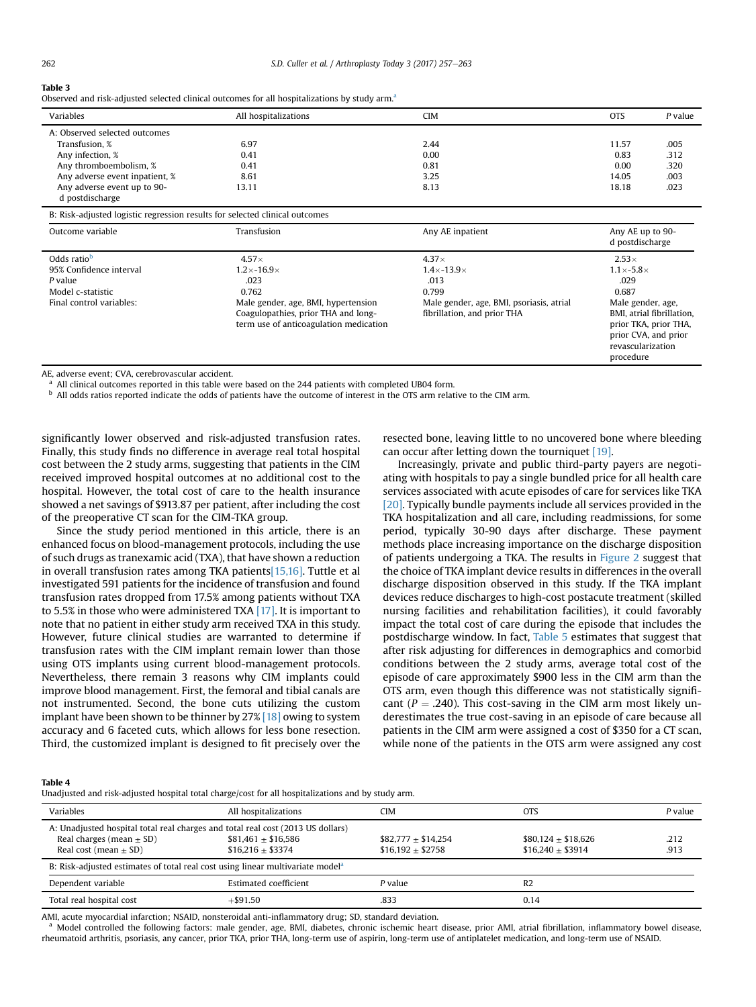#### <span id="page-5-0"></span>Table 3

| Observed and risk-adjusted selected clinical outcomes for all hospitalizations by study arm. <sup>a</sup> |  |  |
|-----------------------------------------------------------------------------------------------------------|--|--|
|                                                                                                           |  |  |

| Variables                                                                   | All hospitalizations                | <b>CIM</b>                               | <b>OTS</b>                          | P value                   |
|-----------------------------------------------------------------------------|-------------------------------------|------------------------------------------|-------------------------------------|---------------------------|
| A: Observed selected outcomes                                               |                                     |                                          |                                     |                           |
| Transfusion, %                                                              | 6.97                                | 2.44                                     | 11.57                               | .005                      |
| Any infection, %                                                            | 0.41                                | 0.00                                     | 0.83                                | .312                      |
| Any thromboembolism, %                                                      | 0.41                                | 0.81                                     | 0.00                                | .320                      |
| Any adverse event inpatient, %                                              | 8.61                                | 3.25                                     | 14.05                               | .003                      |
| Any adverse event up to 90-                                                 | 13.11                               | 8.13                                     | 18.18                               | .023                      |
| d postdischarge                                                             |                                     |                                          |                                     |                           |
| B: Risk-adjusted logistic regression results for selected clinical outcomes |                                     |                                          |                                     |                           |
| Outcome variable                                                            | Transfusion                         | Any AE inpatient                         | Any AE up to 90-<br>d postdischarge |                           |
| Odds ratio <sup>b</sup>                                                     | $4.57\times$                        | $4.37\times$                             | $2.53\times$                        |                           |
| 95% Confidence interval                                                     | $1.2 \times -16.9 \times$           | $1.4 \times -13.9 \times$                | $1.1 \times -5.8 \times$            |                           |
| P value                                                                     | .023                                | .013                                     | .029                                |                           |
| Model c-statistic                                                           | 0.762                               | 0.799                                    | 0.687                               |                           |
| Final control variables:                                                    | Male gender, age, BMI, hypertension | Male gender, age, BMI, psoriasis, atrial | Male gender, age,                   |                           |
|                                                                             | Coagulopathies, prior THA and long- | fibrillation, and prior THA              |                                     | BMI, atrial fibrillation, |

AE, adverse event; CVA, cerebrovascular accident.

All clinical outcomes reported in this table were based on the 244 patients with completed UB04 form.

<sup>b</sup> All odds ratios reported indicate the odds of patients have the outcome of interest in the OTS arm relative to the CIM arm.

term use of anticoagulation medication

significantly lower observed and risk-adjusted transfusion rates. Finally, this study finds no difference in average real total hospital cost between the 2 study arms, suggesting that patients in the CIM received improved hospital outcomes at no additional cost to the hospital. However, the total cost of care to the health insurance showed a net savings of \$913.87 per patient, after including the cost of the preoperative CT scan for the CIM-TKA group.

Since the study period mentioned in this article, there is an enhanced focus on blood-management protocols, including the use of such drugs as tranexamic acid (TXA), that have shown a reduction in overall transfusion rates among TKA patient[s\[15,16\]](#page-6-0). Tuttle et al investigated 591 patients for the incidence of transfusion and found transfusion rates dropped from 17.5% among patients without TXA to 5.5% in those who were administered TXA [\[17\].](#page-6-0) It is important to note that no patient in either study arm received TXA in this study. However, future clinical studies are warranted to determine if transfusion rates with the CIM implant remain lower than those using OTS implants using current blood-management protocols. Nevertheless, there remain 3 reasons why CIM implants could improve blood management. First, the femoral and tibial canals are not instrumented. Second, the bone cuts utilizing the custom implant have been shown to be thinner by 27% [\[18\]](#page-6-0) owing to system accuracy and 6 faceted cuts, which allows for less bone resection. Third, the customized implant is designed to fit precisely over the resected bone, leaving little to no uncovered bone where bleeding can occur after letting down the tourniquet [\[19\].](#page-6-0)

prior TKA, prior THA, prior CVA, and prior revascularization procedure

Increasingly, private and public third-party payers are negotiating with hospitals to pay a single bundled price for all health care services associated with acute episodes of care for services like TKA [\[20\]](#page-6-0). Typically bundle payments include all services provided in the TKA hospitalization and all care, including readmissions, for some period, typically 30-90 days after discharge. These payment methods place increasing importance on the discharge disposition of patients undergoing a TKA. The results in [Figure 2](#page-4-0) suggest that the choice of TKA implant device results in differences in the overall discharge disposition observed in this study. If the TKA implant devices reduce discharges to high-cost postacute treatment (skilled nursing facilities and rehabilitation facilities), it could favorably impact the total cost of care during the episode that includes the postdischarge window. In fact, [Table 5](#page-6-0) estimates that suggest that after risk adjusting for differences in demographics and comorbid conditions between the 2 study arms, average total cost of the episode of care approximately \$900 less in the CIM arm than the OTS arm, even though this difference was not statistically significant ( $P = .240$ ). This cost-saving in the CIM arm most likely underestimates the true cost-saving in an episode of care because all patients in the CIM arm were assigned a cost of \$350 for a CT scan, while none of the patients in the OTS arm were assigned any cost

Table 4

Unadjusted and risk-adjusted hospital total charge/cost for all hospitalizations and by study arm.

| Variables                                                                                                                                    | All hospitalizations                       | CIM                                        | <b>OTS</b>                                 | P value      |
|----------------------------------------------------------------------------------------------------------------------------------------------|--------------------------------------------|--------------------------------------------|--------------------------------------------|--------------|
| A: Unadjusted hospital total real charges and total real cost (2013 US dollars)<br>Real charges (mean $\pm$ SD)<br>Real cost (mean $\pm$ SD) | $$81,461 \pm $16,586$<br>$$16.216 + $3374$ | $$82,777 \pm $14,254$<br>$$16.192 + $2758$ | $$80,124 \pm $18,626$<br>$$16.240 + $3914$ | .212<br>.913 |
| B: Risk-adjusted estimates of total real cost using linear multivariate model <sup>a</sup>                                                   |                                            |                                            |                                            |              |
| Dependent variable                                                                                                                           | Estimated coefficient                      | P value                                    | R <sub>2</sub>                             |              |
| Total real hospital cost                                                                                                                     | $+$ \$91.50                                | .833                                       | 0.14                                       |              |

AMI, acute myocardial infarction; NSAID, nonsteroidal anti-inflammatory drug; SD, standard deviation.

<sup>a</sup> Model controlled the following factors: male gender, age, BMI, diabetes, chronic ischemic heart disease, prior AMI, atrial fibrillation, inflammatory bowel disease, rheumatoid arthritis, psoriasis, any cancer, prior TKA, prior THA, long-term use of aspirin, long-term use of antiplatelet medication, and long-term use of NSAID.